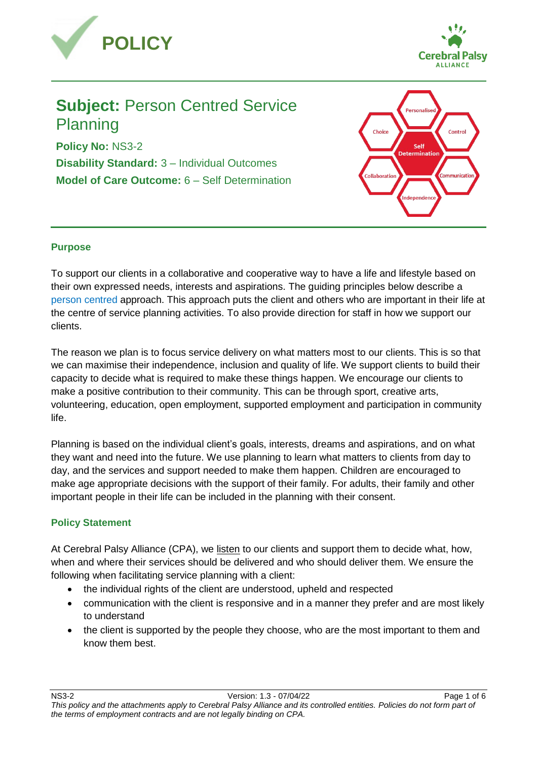



# **Subject:** Person Centred Service Planning

**Policy No:** NS3-2 **Disability Standard:** 3 – Individual Outcomes **Model of Care Outcome:** 6 – Self Determination



# **Purpose**

To support our clients in a collaborative and cooperative way to have a life and lifestyle based on their own expressed needs, interests and aspirations. The guiding principles below describe a [person centred](https://cerebralpalsyallianceau.sharepoint.com/policies/Policies%20Procedures%20and%20Forms/Published/CPA%20Common%20Definitions.docx?web=1) approach. This approach puts the client and others who are important in their life at the centre of service planning activities. To also provide direction for staff in how we support our clients.

The reason we plan is to focus service delivery on what matters most to our clients. This is so that we can maximise their independence, inclusion and quality of life. We support clients to build their capacity to decide what is required to make these things happen. We encourage our clients to make a positive contribution to their community. This can be through sport, creative arts, volunteering, education, open employment, supported employment and participation in community life.

Planning is based on the individual client's goals, interests, dreams and aspirations, and on what they want and need into the future. We use planning to learn what matters to clients from day to day, and the services and support needed to make them happen. Children are encouraged to make age appropriate decisions with the support of their family. For adults, their family and other important people in their life can be included in the planning with their consent.

# **Policy Statement**

At Cerebral Palsy Alliance (CPA), we listen to our clients and support them to decide what, how, when and where their services should be delivered and who should deliver them. We ensure the following when facilitating service planning with a client:

- the individual rights of the client are understood, upheld and respected
- communication with the client is responsive and in a manner they prefer and are most likely to understand
- the client is supported by the people they choose, who are the most important to them and know them best.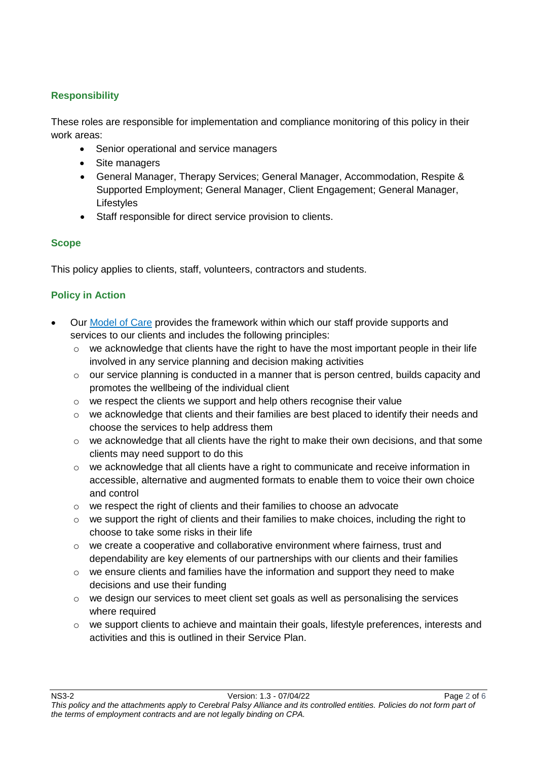# **Responsibility**

These roles are responsible for implementation and compliance monitoring of this policy in their work areas:

- Senior operational and service managers
- Site managers
- General Manager, Therapy Services; General Manager, Accommodation, Respite & Supported Employment; General Manager, Client Engagement; General Manager, Lifestyles
- Staff responsible for direct service provision to clients.

# **Scope**

This policy applies to clients, staff, volunteers, contractors and students.

# **Policy in Action**

- Our [Model of Care](https://cerebralpalsyallianceau.sharepoint.com/policies/Policies%20Procedures%20and%20Forms/Published/NS6-1-7-G2_Model_of_Care_Guidelines.docx?web=1) provides the framework within which our staff provide supports and services to our clients and includes the following principles:
	- $\circ$  we acknowledge that clients have the right to have the most important people in their life involved in any service planning and decision making activities
	- $\circ$  our service planning is conducted in a manner that is person centred, builds capacity and promotes the wellbeing of the individual client
	- o we respect the clients we support and help others recognise their value
	- $\circ$  we acknowledge that clients and their families are best placed to identify their needs and choose the services to help address them
	- $\circ$  we acknowledge that all clients have the right to make their own decisions, and that some clients may need support to do this
	- $\circ$  we acknowledge that all clients have a right to communicate and receive information in accessible, alternative and augmented formats to enable them to voice their own choice and control
	- o we respect the right of clients and their families to choose an advocate
	- o we support the right of clients and their families to make choices, including the right to choose to take some risks in their life
	- $\circ$  we create a cooperative and collaborative environment where fairness, trust and dependability are key elements of our partnerships with our clients and their families
	- $\circ$  we ensure clients and families have the information and support they need to make decisions and use their funding
	- $\circ$  we design our services to meet client set goals as well as personalising the services where required
	- $\circ$  we support clients to achieve and maintain their goals, lifestyle preferences, interests and activities and this is outlined in their Service Plan.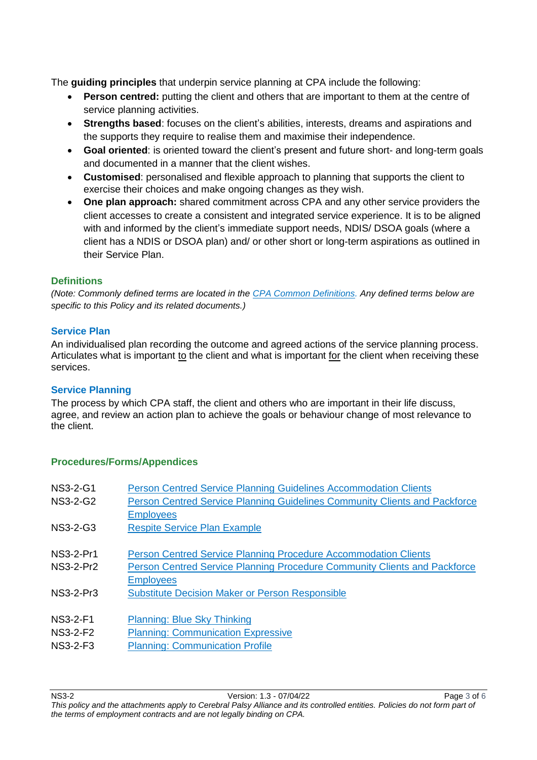The **guiding principles** that underpin service planning at CPA include the following:

- **Person centred:** putting the client and others that are important to them at the centre of service planning activities.
- **Strengths based**: focuses on the client's abilities, interests, dreams and aspirations and the supports they require to realise them and maximise their independence.
- **Goal oriented**: is oriented toward the client's present and future short- and long-term goals and documented in a manner that the client wishes.
- **Customised**: personalised and flexible approach to planning that supports the client to exercise their choices and make ongoing changes as they wish.
- **One plan approach:** shared commitment across CPA and any other service providers the client accesses to create a consistent and integrated service experience. It is to be aligned with and informed by the client's immediate support needs, NDIS/ DSOA goals (where a client has a NDIS or DSOA plan) and/ or other short or long-term aspirations as outlined in their Service Plan.

# **Definitions**

*(Note: Commonly defined terms are located in the [CPA Common Definitions.](https://cerebralpalsyallianceau.sharepoint.com/policies/Policies%20Procedures%20and%20Forms/Published/CPA%20Common%20Definitions.docx?web=1) Any defined terms below are specific to this Policy and its related documents.)*

#### **Service Plan**

An individualised plan recording the outcome and agreed actions of the service planning process. Articulates what is important to the client and what is important for the client when receiving these services.

# **Service Planning**

The process by which CPA staff, the client and others who are important in their life discuss, agree, and review an action plan to achieve the goals or behaviour change of most relevance to the client.

# **Procedures/Forms/Appendices**

| <b>Person Centred Service Planning Guidelines Accommodation Clients</b><br>Person Centred Service Planning Guidelines Community Clients and Packforce |
|-------------------------------------------------------------------------------------------------------------------------------------------------------|
|                                                                                                                                                       |
| <b>Person Centred Service Planning Procedure Accommodation Clients</b>                                                                                |
|                                                                                                                                                       |
| Person Centred Service Planning Procedure Community Clients and Packforce                                                                             |
|                                                                                                                                                       |
|                                                                                                                                                       |
|                                                                                                                                                       |
|                                                                                                                                                       |
|                                                                                                                                                       |
|                                                                                                                                                       |
|                                                                                                                                                       |
|                                                                                                                                                       |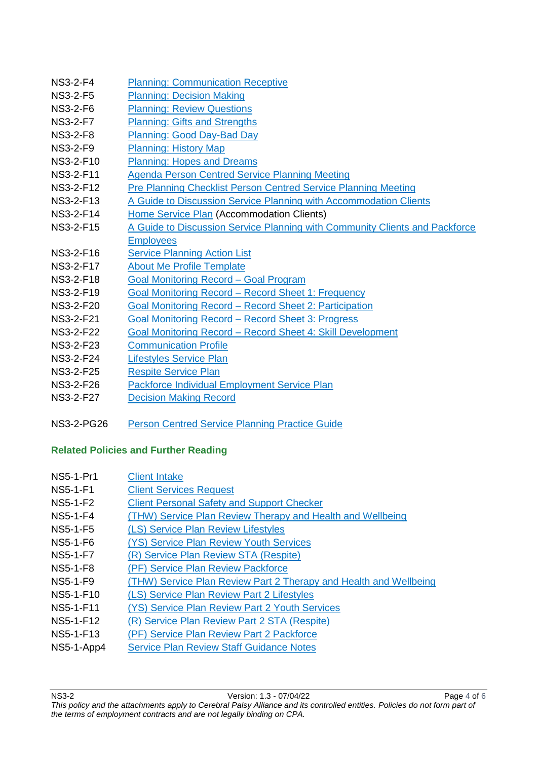| <b>NS3-2-F4</b>  | <b>Planning: Communication Receptive</b>                                    |
|------------------|-----------------------------------------------------------------------------|
| <b>NS3-2-F5</b>  | <b>Planning: Decision Making</b>                                            |
| <b>NS3-2-F6</b>  | <b>Planning: Review Questions</b>                                           |
| <b>NS3-2-F7</b>  | <b>Planning: Gifts and Strengths</b>                                        |
| <b>NS3-2-F8</b>  | <b>Planning: Good Day-Bad Day</b>                                           |
| <b>NS3-2-F9</b>  | <b>Planning: History Map</b>                                                |
| NS3-2-F10        | <b>Planning: Hopes and Dreams</b>                                           |
| <b>NS3-2-F11</b> | <b>Agenda Person Centred Service Planning Meeting</b>                       |
| NS3-2-F12        | Pre Planning Checklist Person Centred Service Planning Meeting              |
| NS3-2-F13        | A Guide to Discussion Service Planning with Accommodation Clients           |
| <b>NS3-2-F14</b> | Home Service Plan (Accommodation Clients)                                   |
| <b>NS3-2-F15</b> | A Guide to Discussion Service Planning with Community Clients and Packforce |
|                  | <b>Employees</b>                                                            |
| NS3-2-F16        | <b>Service Planning Action List</b>                                         |
| <b>NS3-2-F17</b> | <b>About Me Profile Template</b>                                            |
| NS3-2-F18        | <b>Goal Monitoring Record - Goal Program</b>                                |
| <b>NS3-2-F19</b> | <b>Goal Monitoring Record - Record Sheet 1: Frequency</b>                   |
| <b>NS3-2-F20</b> | Goal Monitoring Record – Record Sheet 2: Participation                      |
| <b>NS3-2-F21</b> | Goal Monitoring Record – Record Sheet 3: Progress                           |
| <b>NS3-2-F22</b> | <b>Goal Monitoring Record - Record Sheet 4: Skill Development</b>           |
| <b>NS3-2-F23</b> | <b>Communication Profile</b>                                                |
| <b>NS3-2-F24</b> | <b>Lifestyles Service Plan</b>                                              |
| <b>NS3-2-F25</b> | <b>Respite Service Plan</b>                                                 |
| NS3-2-F26        | <b>Packforce Individual Employment Service Plan</b>                         |
| NS3-2-F27        | <b>Decision Making Record</b>                                               |
|                  |                                                                             |

# NS3-2-PG26 [Person Centred Service Planning Practice Guide](https://cerebralpalsyallianceau.sharepoint.com/policies/Policies%20Procedures%20and%20Forms/Published/NS3-2-PG26_Person_Centred_Planning_Practice_Guide.docx?web=1)

# **Related Policies and Further Reading**

| <b>NS5-1-Pr1</b> | <b>Client Intake</b>                                              |
|------------------|-------------------------------------------------------------------|
| <b>NS5-1-F1</b>  | <b>Client Services Request</b>                                    |
| NS5-1-F2         | <b>Client Personal Safety and Support Checker</b>                 |
| <b>NS5-1-F4</b>  | (THW) Service Plan Review Therapy and Health and Wellbeing        |
| NS5-1-F5         | (LS) Service Plan Review Lifestyles                               |
| <b>NS5-1-F6</b>  | (YS) Service Plan Review Youth Services                           |
| <b>NS5-1-F7</b>  | (R) Service Plan Review STA (Respite)                             |
| <b>NS5-1-F8</b>  | (PF) Service Plan Review Packforce                                |
| <b>NS5-1-F9</b>  | (THW) Service Plan Review Part 2 Therapy and Health and Wellbeing |
| NS5-1-F10        | (LS) Service Plan Review Part 2 Lifestyles                        |
| NS5-1-F11        | (YS) Service Plan Review Part 2 Youth Services                    |
| NS5-1-F12        | (R) Service Plan Review Part 2 STA (Respite)                      |
| NS5-1-F13        | (PF) Service Plan Review Part 2 Packforce                         |
| NS5-1-App4       | <b>Service Plan Review Staff Guidance Notes</b>                   |
|                  |                                                                   |

NS3-2 Version: 1.3 - 07/04/22 Page 4 of 6 *This policy and the attachments apply to Cerebral Palsy Alliance and its controlled entities. Policies do not form part of the terms of employment contracts and are not legally binding on CPA.*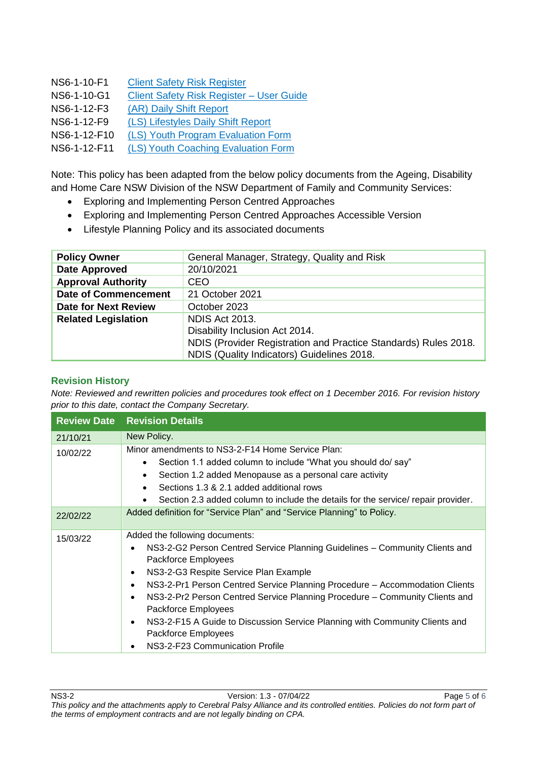| NS6-1-10-F1  | <b>Client Safety Risk Register</b>       |
|--------------|------------------------------------------|
| NS6-1-10-G1  | Client Safety Risk Register - User Guide |
| NS6-1-12-F3  | (AR) Daily Shift Report                  |
| NS6-1-12-F9  | (LS) Lifestyles Daily Shift Report       |
| NS6-1-12-F10 | (LS) Youth Program Evaluation Form       |
| NS6-1-12-F11 | (LS) Youth Coaching Evaluation Form      |

Note: This policy has been adapted from the below policy documents from the Ageing, Disability and Home Care NSW Division of the NSW Department of Family and Community Services:

- Exploring and Implementing Person Centred Approaches
- Exploring and Implementing Person Centred Approaches Accessible Version
- Lifestyle Planning Policy and its associated documents

| <b>Policy Owner</b>         | General Manager, Strategy, Quality and Risk                     |
|-----------------------------|-----------------------------------------------------------------|
| Date Approved               | 20/10/2021                                                      |
| <b>Approval Authority</b>   | CEO.                                                            |
| <b>Date of Commencement</b> | 21 October 2021                                                 |
| <b>Date for Next Review</b> | October 2023                                                    |
| <b>Related Legislation</b>  | <b>NDIS Act 2013.</b>                                           |
|                             | Disability Inclusion Act 2014.                                  |
|                             | NDIS (Provider Registration and Practice Standards) Rules 2018. |
|                             | NDIS (Quality Indicators) Guidelines 2018.                      |

#### **Revision History**

*Note: Reviewed and rewritten policies and procedures took effect on 1 December 2016. For revision history prior to this date, contact the Company Secretary.*

|          | <b>Review Date Revision Details</b>                                                                                                                                                                                                                                                                                                                                                                                                                                                                                                                                       |
|----------|---------------------------------------------------------------------------------------------------------------------------------------------------------------------------------------------------------------------------------------------------------------------------------------------------------------------------------------------------------------------------------------------------------------------------------------------------------------------------------------------------------------------------------------------------------------------------|
| 21/10/21 | New Policy.                                                                                                                                                                                                                                                                                                                                                                                                                                                                                                                                                               |
| 10/02/22 | Minor amendments to NS3-2-F14 Home Service Plan:<br>Section 1.1 added column to include "What you should do/ say"<br>٠<br>Section 1.2 added Menopause as a personal care activity<br>$\bullet$<br>Sections 1.3 & 2.1 added additional rows<br>Section 2.3 added column to include the details for the service/ repair provider.<br>$\bullet$                                                                                                                                                                                                                              |
| 22/02/22 | Added definition for "Service Plan" and "Service Planning" to Policy.                                                                                                                                                                                                                                                                                                                                                                                                                                                                                                     |
| 15/03/22 | Added the following documents:<br>NS3-2-G2 Person Centred Service Planning Guidelines - Community Clients and<br>٠<br>Packforce Employees<br>NS3-2-G3 Respite Service Plan Example<br>$\bullet$<br>NS3-2-Pr1 Person Centred Service Planning Procedure - Accommodation Clients<br>$\bullet$<br>NS3-2-Pr2 Person Centred Service Planning Procedure - Community Clients and<br>$\bullet$<br>Packforce Employees<br>NS3-2-F15 A Guide to Discussion Service Planning with Community Clients and<br>$\bullet$<br>Packforce Employees<br>NS3-2-F23 Communication Profile<br>٠ |